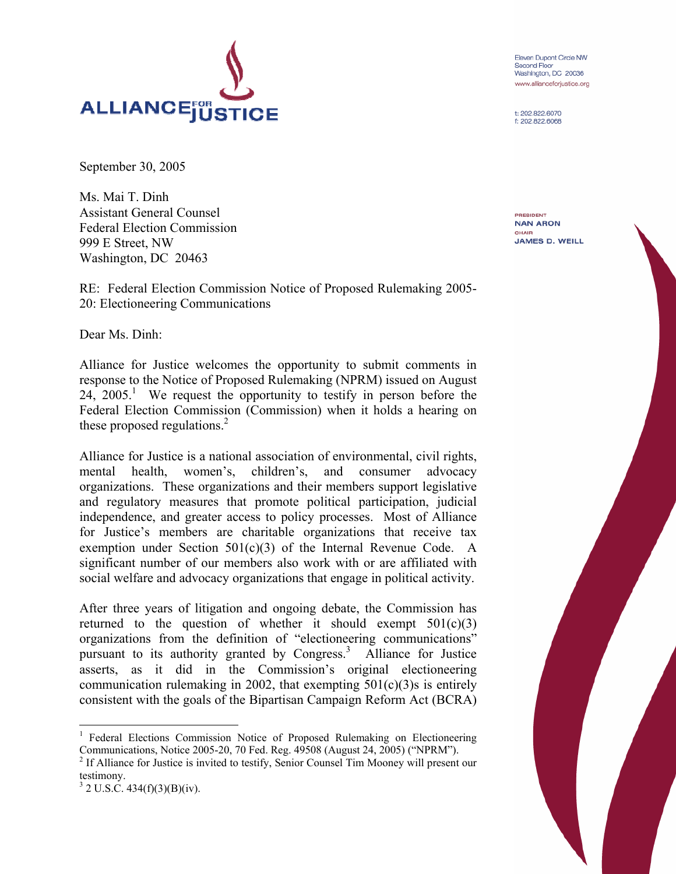

September 30, 2005

Ms. Mai T. Dinh Assistant General Counsel Federal Election Commission 999 E Street, NW Washington, DC 20463

RE: Federal Election Commission Notice of Proposed Rulemaking 2005- 20: Electioneering Communications

Dear Ms. Dinh:

Alliance for Justice welcomes the opportunity to submit comments in response to the Notice of Proposed Rulemaking (NPRM) issued on August 24, 2005.<sup>1</sup> We request the opportunity to testify in person before the Federal Election Commission (Commission) when it holds a hearing on these proposed regulations.<sup>2</sup>

Alliance for Justice is a national association of environmental, civil rights, mental health, women's, children's, and consumer advocacy organizations. These organizations and their members support legislative and regulatory measures that promote political participation, judicial independence, and greater access to policy processes. Most of Alliance for Justice's members are charitable organizations that receive tax exemption under Section 501(c)(3) of the Internal Revenue Code. A significant number of our members also work with or are affiliated with social welfare and advocacy organizations that engage in political activity.

After three years of litigation and ongoing debate, the Commission has returned to the question of whether it should exempt  $501(c)(3)$ organizations from the definition of "electioneering communications" pursuant to its authority granted by Congress.<sup>3</sup> Alliance for Justice asserts, as it did in the Commission's original electioneering communication rulemaking in 2002, that exempting  $501(c)(3)$ s is entirely consistent with the goals of the Bipartisan Campaign Reform Act (BCRA)

```
3^{3} 2 U.S.C. 434(f)(3)(B)(iv).
```
<u>.</u>

Eleven Dupont Circle NW Second Floor Washington, DC 20036 www.allianceforjustice.org

t: 202.822.6070 f: 202,822,6068

PRESIDENT **NAN ARON** CHAIR **JAMES D. WEILL** 

<sup>&</sup>lt;sup>1</sup> Federal Elections Commission Notice of Proposed Rulemaking on Electioneering Communications, Notice 2005-20, 70 Fed. Reg. 49508 (August 24, 2005) ("NPRM").

<sup>&</sup>lt;sup>2</sup> If Alliance for Justice is invited to testify, Senior Counsel Tim Mooney will present our testimony.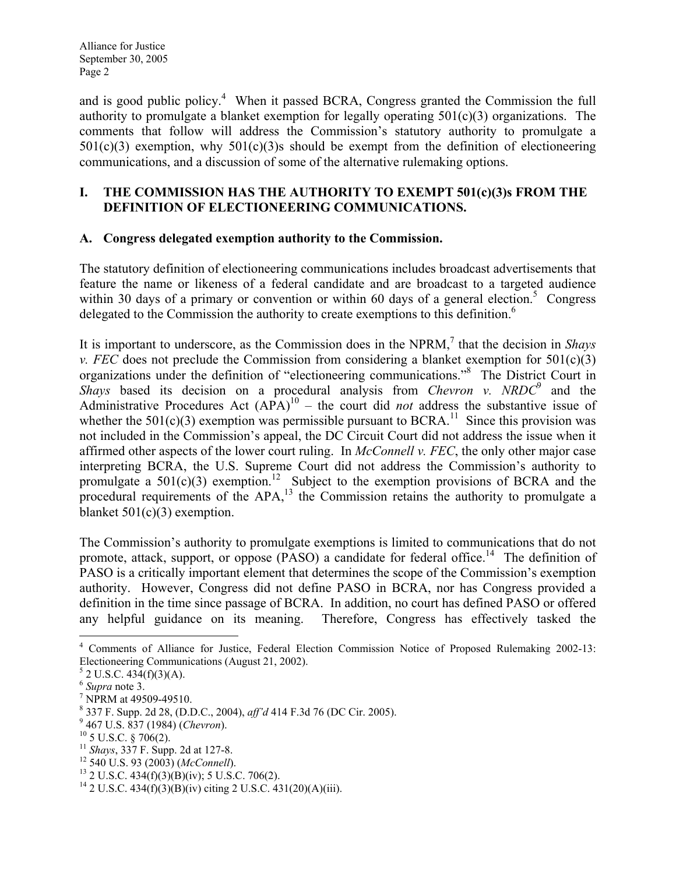Alliance for Justice September 30, 2005 Page 2

and is good public policy.<sup>4</sup> When it passed BCRA, Congress granted the Commission the full authority to promulgate a blanket exemption for legally operating  $501(c)(3)$  organizations. The comments that follow will address the Commission's statutory authority to promulgate a  $501(c)(3)$  exemption, why  $501(c)(3)$  should be exempt from the definition of electioneering communications, and a discussion of some of the alternative rulemaking options.

#### I. THE COMMISSION HAS THE AUTHORITY TO EXEMPT 501(c)(3)s FROM THE DEFINITION OF ELECTIONEERING COMMUNICATIONS.

#### A. Congress delegated exemption authority to the Commission.

The statutory definition of electioneering communications includes broadcast advertisements that feature the name or likeness of a federal candidate and are broadcast to a targeted audience within 30 days of a primary or convention or within 60 days of a general election.<sup>5</sup> Congress delegated to the Commission the authority to create exemptions to this definition. 6

It is important to underscore, as the Commission does in the NPRM, $^7$  that the decision in Shays v. FEC does not preclude the Commission from considering a blanket exemption for  $501(c)(3)$ organizations under the definition of "electioneering communications."<sup>8</sup> The District Court in Shays based its decision on a procedural analysis from Chevron v. NRDC $\degree$  and the Administrative Procedures Act  $(APA)^{10}$  – the court did *not* address the substantive issue of whether the  $501(c)(3)$  exemption was permissible pursuant to BCRA.<sup>11</sup> Since this provision was not included in the Commission's appeal, the DC Circuit Court did not address the issue when it affirmed other aspects of the lower court ruling. In McConnell v. FEC, the only other major case interpreting BCRA, the U.S. Supreme Court did not address the Commission's authority to promulgate a  $501(c)(3)$  exemption.<sup>12</sup> Subject to the exemption provisions of BCRA and the procedural requirements of the APA,<sup>13</sup> the Commission retains the authority to promulgate a blanket 501(c)(3) exemption.

The Commission's authority to promulgate exemptions is limited to communications that do not promote, attack, support, or oppose (PASO) a candidate for federal office.<sup>14</sup> The definition of PASO is a critically important element that determines the scope of the Commission's exemption authority. However, Congress did not define PASO in BCRA, nor has Congress provided a definition in the time since passage of BCRA. In addition, no court has defined PASO or offered any helpful guidance on its meaning. Therefore, Congress has effectively tasked the

 $\overline{a}$ 4 Comments of Alliance for Justice, Federal Election Commission Notice of Proposed Rulemaking 2002-13: Electioneering Communications (August 21, 2002).

 $5$  2 U.S.C. 434(f)(3)(A).

 $<sup>6</sup>$  Supra note 3.</sup>

 $7$  NPRM at 49509-49510.

<sup>&</sup>lt;sup>8</sup> 337 F. Supp. 2d 28, (D.D.C., 2004), *aff'd* 414 F.3d 76 (DC Cir. 2005).

<sup>&</sup>lt;sup>9</sup> 467 U.S. 837 (1984) (Chevron).

 $10$  5 U.S.C. § 706(2).

 $11$  Shays, 337 F. Supp. 2d at 127-8.

 $12$  540 U.S. 93 (2003) (McConnell).

 $13$  2 U.S.C. 434(f)(3)(B)(iv); 5 U.S.C. 706(2).

<sup>14</sup> 2 U.S.C. 434(f)(3)(B)(iv) citing 2 U.S.C. 431(20)(A)(iii).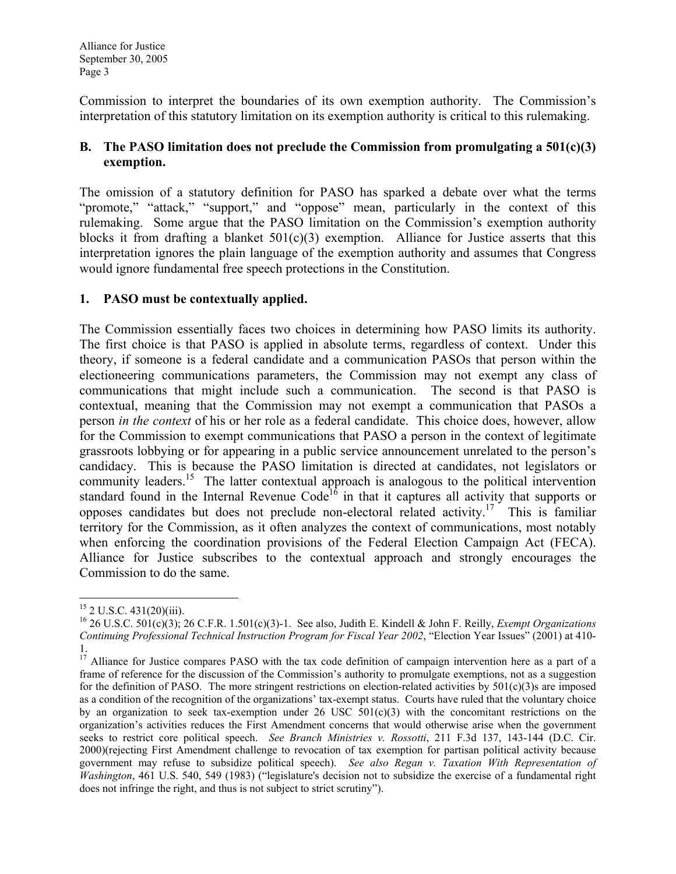Commission to interpret the boundaries of its own exemption authority. The Commission's interpretation of this statutory limitation on its exemption authority is critical to this rulemaking.

## B. The PASO limitation does not preclude the Commission from promulgating a  $501(c)(3)$ exemption.

The omission of a statutory definition for PASO has sparked a debate over what the terms "promote," "attack," "support," and "oppose" mean, particularly in the context of this rulemaking. Some argue that the PASO limitation on the Commission's exemption authority blocks it from drafting a blanket  $501(c)(3)$  exemption. Alliance for Justice asserts that this interpretation ignores the plain language of the exemption authority and assumes that Congress would ignore fundamental free speech protections in the Constitution.

## 1. PASO must be contextually applied.

The Commission essentially faces two choices in determining how PASO limits its authority. The first choice is that PASO is applied in absolute terms, regardless of context. Under this theory, if someone is a federal candidate and a communication PASOs that person within the electioneering communications parameters, the Commission may not exempt any class of communications that might include such a communication. The second is that PASO is contextual, meaning that the Commission may not exempt a communication that PASOs a person in the context of his or her role as a federal candidate. This choice does, however, allow for the Commission to exempt communications that PASO a person in the context of legitimate grassroots lobbying or for appearing in a public service announcement unrelated to the person's candidacy. This is because the PASO limitation is directed at candidates, not legislators or community leaders.<sup>15</sup> The latter contextual approach is analogous to the political intervention standard found in the Internal Revenue Code<sup>16</sup> in that it captures all activity that supports or opposes candidates but does not preclude non-electoral related activity.<sup>17</sup> This is familiar territory for the Commission, as it often analyzes the context of communications, most notably when enforcing the coordination provisions of the Federal Election Campaign Act (FECA). Alliance for Justice subscribes to the contextual approach and strongly encourages the Commission to do the same.

 $\overline{a}$ 

 $15$  2 U.S.C. 431(20)(iii).

<sup>&</sup>lt;sup>16</sup> 26 U.S.C. 501(c)(3); 26 C.F.R. 1.501(c)(3)-1. See also, Judith E. Kindell & John F. Reilly, *Exempt Organizations* Continuing Professional Technical Instruction Program for Fiscal Year 2002, "Election Year Issues" (2001) at 410- 1.

<sup>&</sup>lt;sup>17</sup> Alliance for Justice compares PASO with the tax code definition of campaign intervention here as a part of a frame of reference for the discussion of the Commission's authority to promulgate exemptions, not as a suggestion for the definition of PASO. The more stringent restrictions on election-related activities by  $501(c)(3)$ s are imposed as a condition of the recognition of the organizations' tax-exempt status. Courts have ruled that the voluntary choice by an organization to seek tax-exemption under  $26 \text{ USC } 501(c)(3)$  with the concomitant restrictions on the organization's activities reduces the First Amendment concerns that would otherwise arise when the government seeks to restrict core political speech. See Branch Ministries v. Rossotti, 211 F.3d 137, 143-144 (D.C. Cir. 2000)(rejecting First Amendment challenge to revocation of tax exemption for partisan political activity because government may refuse to subsidize political speech). See also Regan v. Taxation With Representation of Washington, 461 U.S. 540, 549 (1983) ("legislature's decision not to subsidize the exercise of a fundamental right does not infringe the right, and thus is not subject to strict scrutiny").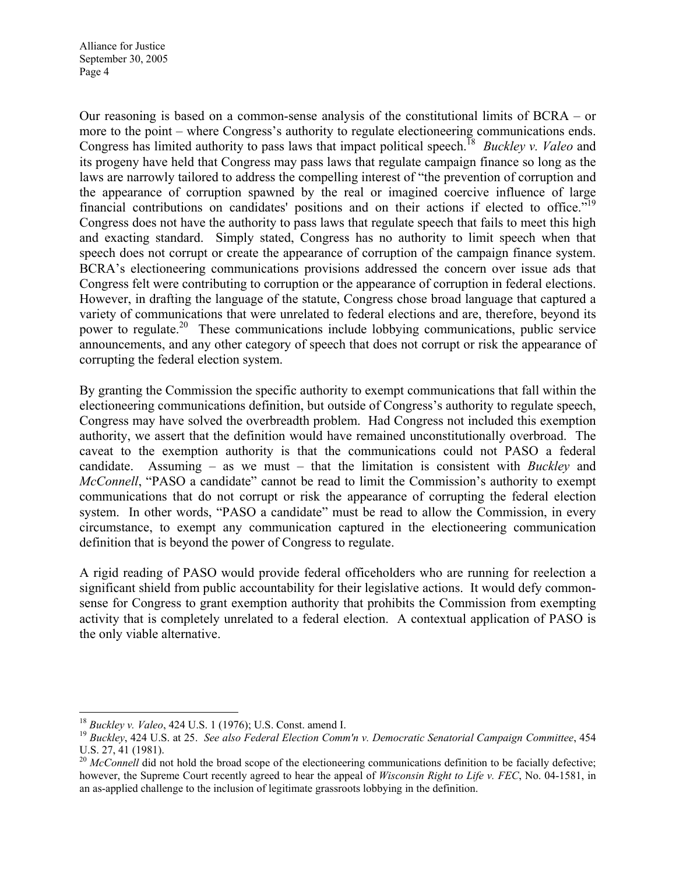Alliance for Justice September 30, 2005 Page 4

Our reasoning is based on a common-sense analysis of the constitutional limits of BCRA – or more to the point – where Congress's authority to regulate electioneering communications ends. Congress has limited authority to pass laws that impact political speech.<sup>18</sup> Buckley v. Valeo and its progeny have held that Congress may pass laws that regulate campaign finance so long as the laws are narrowly tailored to address the compelling interest of "the prevention of corruption and the appearance of corruption spawned by the real or imagined coercive influence of large financial contributions on candidates' positions and on their actions if elected to office."<sup>19</sup> Congress does not have the authority to pass laws that regulate speech that fails to meet this high and exacting standard. Simply stated, Congress has no authority to limit speech when that speech does not corrupt or create the appearance of corruption of the campaign finance system. BCRA's electioneering communications provisions addressed the concern over issue ads that Congress felt were contributing to corruption or the appearance of corruption in federal elections. However, in drafting the language of the statute, Congress chose broad language that captured a variety of communications that were unrelated to federal elections and are, therefore, beyond its power to regulate.<sup>20</sup> These communications include lobbying communications, public service announcements, and any other category of speech that does not corrupt or risk the appearance of corrupting the federal election system.

By granting the Commission the specific authority to exempt communications that fall within the electioneering communications definition, but outside of Congress's authority to regulate speech, Congress may have solved the overbreadth problem. Had Congress not included this exemption authority, we assert that the definition would have remained unconstitutionally overbroad. The caveat to the exemption authority is that the communications could not PASO a federal candidate. Assuming – as we must – that the limitation is consistent with *Buckley* and McConnell, "PASO a candidate" cannot be read to limit the Commission's authority to exempt communications that do not corrupt or risk the appearance of corrupting the federal election system. In other words, "PASO a candidate" must be read to allow the Commission, in every circumstance, to exempt any communication captured in the electioneering communication definition that is beyond the power of Congress to regulate.

A rigid reading of PASO would provide federal officeholders who are running for reelection a significant shield from public accountability for their legislative actions. It would defy commonsense for Congress to grant exemption authority that prohibits the Commission from exempting activity that is completely unrelated to a federal election. A contextual application of PASO is the only viable alternative.

 $\overline{a}$  $18$  Buckley v. Valeo, 424 U.S. 1 (1976); U.S. Const. amend I.

 $19$  Buckley, 424 U.S. at 25. See also Federal Election Comm'n v. Democratic Senatorial Campaign Committee, 454 U.S. 27, 41 (1981).

 $^{20}$  McConnell did not hold the broad scope of the electioneering communications definition to be facially defective; however, the Supreme Court recently agreed to hear the appeal of *Wisconsin Right to Life v. FEC*, No. 04-1581, in an as-applied challenge to the inclusion of legitimate grassroots lobbying in the definition.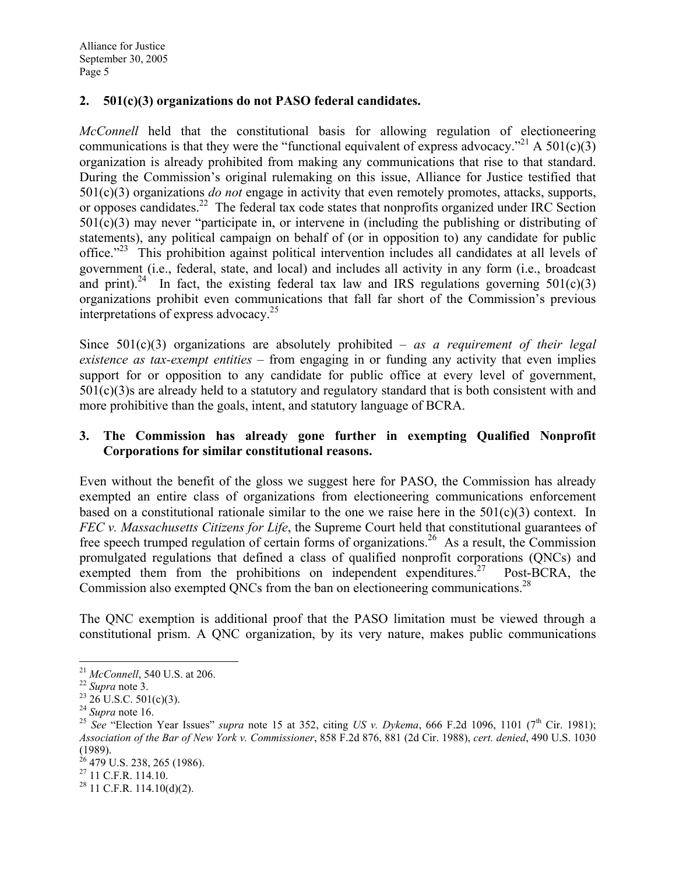## 2. 501(c)(3) organizations do not PASO federal candidates.

McConnell held that the constitutional basis for allowing regulation of electioneering communications is that they were the "functional equivalent of express advocacy."<sup>21</sup> A 501(c)(3) organization is already prohibited from making any communications that rise to that standard. During the Commission's original rulemaking on this issue, Alliance for Justice testified that  $501(c)(3)$  organizations *do not* engage in activity that even remotely promotes, attacks, supports, or opposes candidates.<sup>22</sup> The federal tax code states that nonprofits organized under IRC Section 501(c)(3) may never "participate in, or intervene in (including the publishing or distributing of statements), any political campaign on behalf of (or in opposition to) any candidate for public office."<sup>23</sup> This prohibition against political intervention includes all candidates at all levels of government (i.e., federal, state, and local) and includes all activity in any form (i.e., broadcast and print).<sup>24</sup> In fact, the existing federal tax law and IRS regulations governing  $501(c)(3)$ organizations prohibit even communications that fall far short of the Commission's previous interpretations of express advocacy.<sup>25</sup>

Since  $501(c)(3)$  organizations are absolutely prohibited – as a requirement of their legal existence as tax-exempt entities – from engaging in or funding any activity that even implies support for or opposition to any candidate for public office at every level of government,  $501(c)(3)$ s are already held to a statutory and regulatory standard that is both consistent with and more prohibitive than the goals, intent, and statutory language of BCRA.

### 3. The Commission has already gone further in exempting Qualified Nonprofit Corporations for similar constitutional reasons.

Even without the benefit of the gloss we suggest here for PASO, the Commission has already exempted an entire class of organizations from electioneering communications enforcement based on a constitutional rationale similar to the one we raise here in the  $501(c)(3)$  context. In FEC v. Massachusetts Citizens for Life, the Supreme Court held that constitutional guarantees of free speech trumped regulation of certain forms of organizations.<sup>26</sup> As a result, the Commission promulgated regulations that defined a class of qualified nonprofit corporations (QNCs) and exempted them from the prohibitions on independent expenditures.<sup>27</sup> Post-BCRA, the Commission also exempted QNCs from the ban on electioneering communications.<sup>28</sup>

The QNC exemption is additional proof that the PASO limitation must be viewed through a constitutional prism. A QNC organization, by its very nature, makes public communications

<sup>&</sup>lt;u>.</u>  $^{21}$  *McConnell*, 540 U.S. at 206.

 $22$  Supra note 3.

 $23$  26 U.S.C. 501(c)(3).

 $24$  Supra note 16.

<sup>&</sup>lt;sup>25</sup> See "Election Year Issues" supra note 15 at 352, citing US v. Dykema, 666 F.2d 1096, 1101 (7<sup>th</sup> Cir. 1981); Association of the Bar of New York v. Commissioner, 858 F.2d 876, 881 (2d Cir. 1988), cert. denied, 490 U.S. 1030 (1989).

<sup>&</sup>lt;sup>26</sup> 479 U.S. 238, 265 (1986).

 $^{27}$  11 C.F.R. 114.10.

 $28$  11 C.F.R. 114.10(d)(2).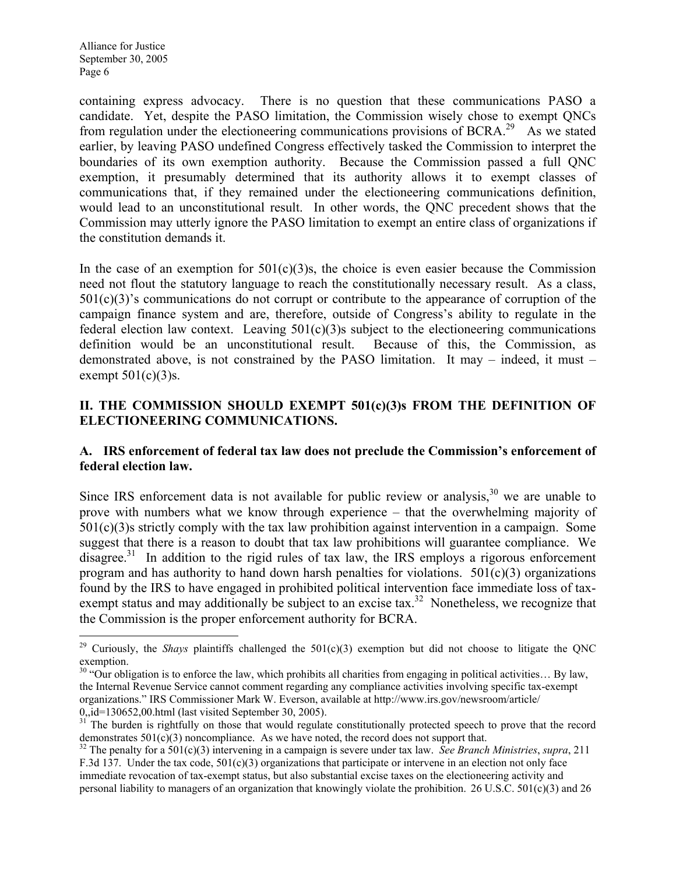containing express advocacy. There is no question that these communications PASO a candidate. Yet, despite the PASO limitation, the Commission wisely chose to exempt QNCs from regulation under the electioneering communications provisions of BCRA.<sup>29</sup> As we stated earlier, by leaving PASO undefined Congress effectively tasked the Commission to interpret the boundaries of its own exemption authority. Because the Commission passed a full QNC exemption, it presumably determined that its authority allows it to exempt classes of communications that, if they remained under the electioneering communications definition, would lead to an unconstitutional result. In other words, the QNC precedent shows that the Commission may utterly ignore the PASO limitation to exempt an entire class of organizations if the constitution demands it.

In the case of an exemption for  $501(c)(3)$ s, the choice is even easier because the Commission need not flout the statutory language to reach the constitutionally necessary result. As a class, 501(c)(3)'s communications do not corrupt or contribute to the appearance of corruption of the campaign finance system and are, therefore, outside of Congress's ability to regulate in the federal election law context. Leaving  $501(c)(3)$ s subject to the electioneering communications definition would be an unconstitutional result. Because of this, the Commission, as demonstrated above, is not constrained by the PASO limitation. It may – indeed, it must – exempt  $501(c)(3)$ s.

## II. THE COMMISSION SHOULD EXEMPT 501(c)(3)s FROM THE DEFINITION OF ELECTIONEERING COMMUNICATIONS.

### A. IRS enforcement of federal tax law does not preclude the Commission's enforcement of federal election law.

Since IRS enforcement data is not available for public review or analysis, $30$  we are unable to prove with numbers what we know through experience – that the overwhelming majority of  $501(c)(3)$ s strictly comply with the tax law prohibition against intervention in a campaign. Some suggest that there is a reason to doubt that tax law prohibitions will guarantee compliance. We disagree.<sup>31</sup> In addition to the rigid rules of tax law, the IRS employs a rigorous enforcement program and has authority to hand down harsh penalties for violations.  $501(c)(3)$  organizations found by the IRS to have engaged in prohibited political intervention face immediate loss of taxexempt status and may additionally be subject to an excise tax.<sup>32</sup> Nonetheless, we recognize that the Commission is the proper enforcement authority for BCRA.

<sup>-</sup><sup>29</sup> Curiously, the *Shays* plaintiffs challenged the  $501(c)(3)$  exemption but did not choose to litigate the QNC exemption.

 $30$  "Our obligation is to enforce the law, which prohibits all charities from engaging in political activities... By law, the Internal Revenue Service cannot comment regarding any compliance activities involving specific tax-exempt organizations." IRS Commissioner Mark W. Everson, available at http://www.irs.gov/newsroom/article/ 0,,id=130652,00.html (last visited September 30, 2005).

<sup>&</sup>lt;sup>31</sup> The burden is rightfully on those that would regulate constitutionally protected speech to prove that the record demonstrates  $501(c)(3)$  noncompliance. As we have noted, the record does not support that.

 $32$  The penalty for a 501(c)(3) intervening in a campaign is severe under tax law. See Branch Ministries, supra, 211 F.3d 137. Under the tax code,  $501(c)(3)$  organizations that participate or intervene in an election not only face immediate revocation of tax-exempt status, but also substantial excise taxes on the electioneering activity and personal liability to managers of an organization that knowingly violate the prohibition. 26 U.S.C. 501(c)(3) and 26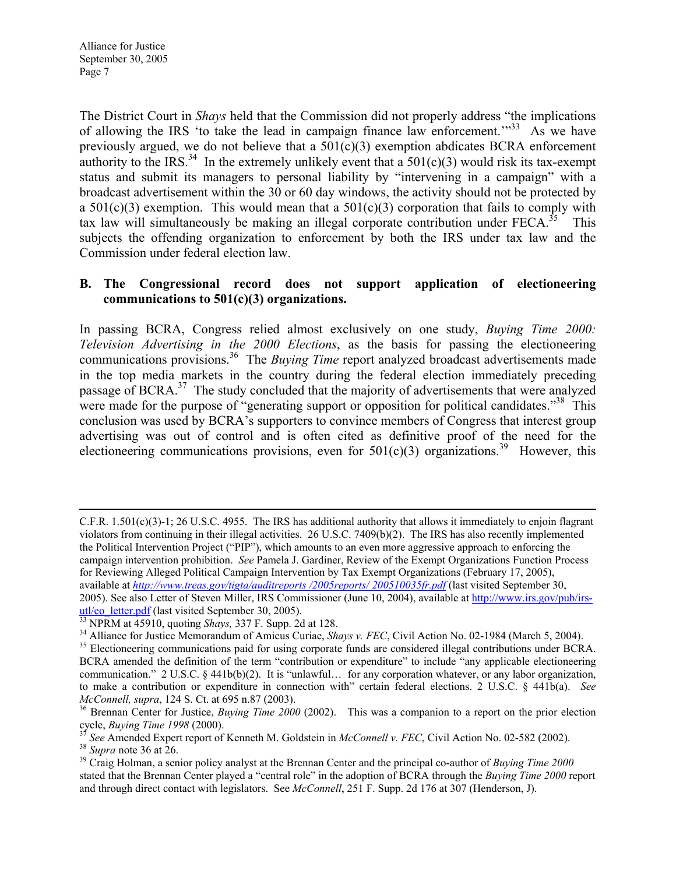The District Court in Shays held that the Commission did not properly address "the implications of allowing the IRS 'to take the lead in campaign finance law enforcement.'"<sup>33</sup> As we have previously argued, we do not believe that a  $501(c)(3)$  exemption abdicates BCRA enforcement authority to the IRS.<sup>34</sup> In the extremely unlikely event that a  $501(c)(3)$  would risk its tax-exempt status and submit its managers to personal liability by "intervening in a campaign" with a broadcast advertisement within the 30 or 60 day windows, the activity should not be protected by a  $501(c)(3)$  exemption. This would mean that a  $501(c)(3)$  corporation that fails to comply with tax law will simultaneously be making an illegal corporate contribution under  $FECA$ <sup>35</sup> This subjects the offending organization to enforcement by both the IRS under tax law and the Commission under federal election law.

#### B. The Congressional record does not support application of electioneering communications to 501(c)(3) organizations.

In passing BCRA, Congress relied almost exclusively on one study, *Buying Time 2000:* Television Advertising in the 2000 Elections, as the basis for passing the electioneering communications provisions.<sup>36</sup> The *Buying Time* report analyzed broadcast advertisements made in the top media markets in the country during the federal election immediately preceding passage of BCRA.<sup>37</sup> The study concluded that the majority of advertisements that were analyzed were made for the purpose of "generating support or opposition for political candidates."<sup>38</sup> This conclusion was used by BCRA's supporters to convince members of Congress that interest group advertising was out of control and is often cited as definitive proof of the need for the electioneering communications provisions, even for  $501(c)(3)$  organizations.<sup>39</sup> However, this

<sup>38</sup> Supra note 36 at 26.

 $\overline{a}$ 

C.F.R.  $1.501(c)(3)-1$ ; 26 U.S.C. 4955. The IRS has additional authority that allows it immediately to enjoin flagrant violators from continuing in their illegal activities. 26 U.S.C. 7409(b)(2). The IRS has also recently implemented the Political Intervention Project ("PIP"), which amounts to an even more aggressive approach to enforcing the campaign intervention prohibition. See Pamela J. Gardiner, Review of the Exempt Organizations Function Process for Reviewing Alleged Political Campaign Intervention by Tax Exempt Organizations (February 17, 2005), available at http://www.treas.gov/tigta/auditreports /2005reports/ 200510035fr.pdf (last visited September 30, 2005). See also Letter of Steven Miller, IRS Commissioner (June 10, 2004), available at http://www.irs.gov/pub/irsutl/eo\_letter.pdf (last visited September 30, 2005).

 $33$  NPRM at 45910, quoting Shays, 337 F. Supp. 2d at 128.

<sup>&</sup>lt;sup>34</sup> Alliance for Justice Memorandum of Amicus Curiae, Shays v. FEC, Civil Action No. 02-1984 (March 5, 2004).

<sup>&</sup>lt;sup>35</sup> Electioneering communications paid for using corporate funds are considered illegal contributions under BCRA. BCRA amended the definition of the term "contribution or expenditure" to include "any applicable electioneering communication." 2 U.S.C. § 441b(b)(2). It is "unlawful… for any corporation whatever, or any labor organization, to make a contribution or expenditure in connection with" certain federal elections. 2 U.S.C. § 441b(a). See McConnell, supra, 124 S. Ct. at 695 n.87 (2003).

<sup>&</sup>lt;sup>36</sup> Brennan Center for Justice, *Buying Time 2000* (2002). This was a companion to a report on the prior election cycle, Buying Time 1998 (2000).

 $\frac{37}{37}$  See Amended Expert report of Kenneth M. Goldstein in *McConnell v. FEC*, Civil Action No. 02-582 (2002).

 $39$  Craig Holman, a senior policy analyst at the Brennan Center and the principal co-author of Buying Time 2000 stated that the Brennan Center played a "central role" in the adoption of BCRA through the *Buying Time 2000* report and through direct contact with legislators. See McConnell, 251 F. Supp. 2d 176 at 307 (Henderson, J).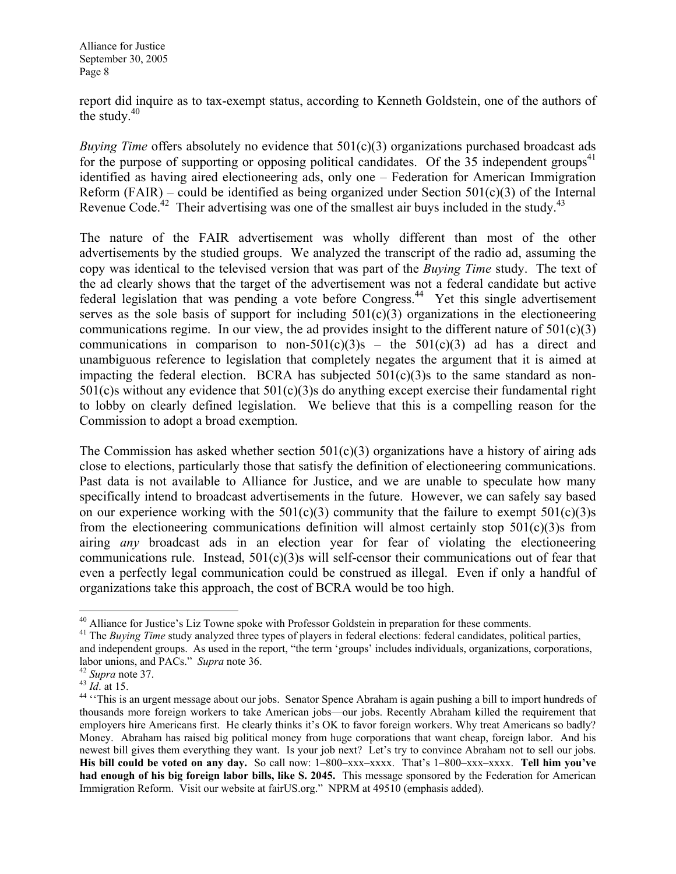report did inquire as to tax-exempt status, according to Kenneth Goldstein, one of the authors of the study. $40$ 

Buying Time offers absolutely no evidence that  $501(c)(3)$  organizations purchased broadcast ads for the purpose of supporting or opposing political candidates. Of the 35 independent groups<sup>41</sup> identified as having aired electioneering ads, only one – Federation for American Immigration Reform (FAIR) – could be identified as being organized under Section  $501(c)(3)$  of the Internal Revenue Code.<sup>42</sup> Their advertising was one of the smallest air buys included in the study.<sup>43</sup>

The nature of the FAIR advertisement was wholly different than most of the other advertisements by the studied groups. We analyzed the transcript of the radio ad, assuming the copy was identical to the televised version that was part of the *Buying Time* study. The text of the ad clearly shows that the target of the advertisement was not a federal candidate but active federal legislation that was pending a vote before Congress.<sup>44</sup> Yet this single advertisement serves as the sole basis of support for including  $501(c)(3)$  organizations in the electioneering communications regime. In our view, the ad provides insight to the different nature of  $501(c)(3)$ communications in comparison to non-501(c)(3)s – the 501(c)(3) ad has a direct and unambiguous reference to legislation that completely negates the argument that it is aimed at impacting the federal election. BCRA has subjected  $501(c)(3)$ s to the same standard as non- $501(c)$ s without any evidence that  $501(c)(3)$ s do anything except exercise their fundamental right to lobby on clearly defined legislation. We believe that this is a compelling reason for the Commission to adopt a broad exemption.

The Commission has asked whether section  $501(c)(3)$  organizations have a history of airing ads close to elections, particularly those that satisfy the definition of electioneering communications. Past data is not available to Alliance for Justice, and we are unable to speculate how many specifically intend to broadcast advertisements in the future. However, we can safely say based on our experience working with the  $501(c)(3)$  community that the failure to exempt  $501(c)(3)$ s from the electioneering communications definition will almost certainly stop  $501(c)(3)$ s from airing any broadcast ads in an election year for fear of violating the electioneering communications rule. Instead,  $501(c)(3)$ s will self-censor their communications out of fear that even a perfectly legal communication could be construed as illegal. Even if only a handful of organizations take this approach, the cost of BCRA would be too high.

<u>.</u>

<sup>&</sup>lt;sup>40</sup> Alliance for Justice's Liz Towne spoke with Professor Goldstein in preparation for these comments.

<sup>&</sup>lt;sup>41</sup> The *Buying Time* study analyzed three types of players in federal elections: federal candidates, political parties, and independent groups. As used in the report, "the term 'groups' includes individuals, organizations, corporations, labor unions, and PACs." Supra note 36.

 $42$  *Supra* note 37.

 $^{43}$   $\frac{Uup}{Id}$  at 15.

<sup>&</sup>lt;sup>44</sup> "This is an urgent message about our jobs. Senator Spence Abraham is again pushing a bill to import hundreds of thousands more foreign workers to take American jobs—our jobs. Recently Abraham killed the requirement that employers hire Americans first. He clearly thinks it's OK to favor foreign workers. Why treat Americans so badly? Money. Abraham has raised big political money from huge corporations that want cheap, foreign labor. And his newest bill gives them everything they want. Is your job next? Let's try to convince Abraham not to sell our jobs. His bill could be voted on any day. So call now: 1–800–xxx–xxxx. That's 1–800–xxx–xxxx. Tell him you've had enough of his big foreign labor bills, like S. 2045. This message sponsored by the Federation for American Immigration Reform. Visit our website at fairUS.org." NPRM at 49510 (emphasis added).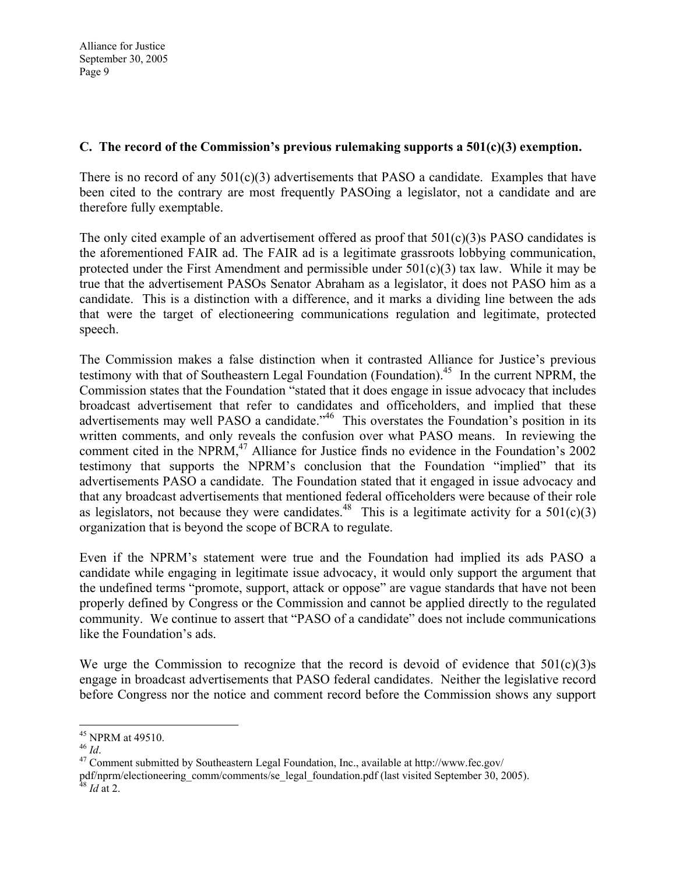## C. The record of the Commission's previous rulemaking supports a 501(c)(3) exemption.

There is no record of any  $501(c)(3)$  advertisements that PASO a candidate. Examples that have been cited to the contrary are most frequently PASOing a legislator, not a candidate and are therefore fully exemptable.

The only cited example of an advertisement offered as proof that 501(c)(3)s PASO candidates is the aforementioned FAIR ad. The FAIR ad is a legitimate grassroots lobbying communication, protected under the First Amendment and permissible under  $501(c)(3)$  tax law. While it may be true that the advertisement PASOs Senator Abraham as a legislator, it does not PASO him as a candidate. This is a distinction with a difference, and it marks a dividing line between the ads that were the target of electioneering communications regulation and legitimate, protected speech.

The Commission makes a false distinction when it contrasted Alliance for Justice's previous testimony with that of Southeastern Legal Foundation (Foundation).<sup>45</sup> In the current NPRM, the Commission states that the Foundation "stated that it does engage in issue advocacy that includes broadcast advertisement that refer to candidates and officeholders, and implied that these advertisements may well PASO a candidate.<sup>"46</sup> This overstates the Foundation's position in its written comments, and only reveals the confusion over what PASO means. In reviewing the comment cited in the NPRM,<sup>47</sup> Alliance for Justice finds no evidence in the Foundation's 2002 testimony that supports the NPRM's conclusion that the Foundation "implied" that its advertisements PASO a candidate. The Foundation stated that it engaged in issue advocacy and that any broadcast advertisements that mentioned federal officeholders were because of their role as legislators, not because they were candidates.<sup>48</sup> This is a legitimate activity for a  $501(c)(3)$ organization that is beyond the scope of BCRA to regulate.

Even if the NPRM's statement were true and the Foundation had implied its ads PASO a candidate while engaging in legitimate issue advocacy, it would only support the argument that the undefined terms "promote, support, attack or oppose" are vague standards that have not been properly defined by Congress or the Commission and cannot be applied directly to the regulated community. We continue to assert that "PASO of a candidate" does not include communications like the Foundation's ads.

We urge the Commission to recognize that the record is devoid of evidence that  $501(c)(3)$ s engage in broadcast advertisements that PASO federal candidates. Neither the legislative record before Congress nor the notice and comment record before the Commission shows any support

 $\overline{a}$ 

 $45$  NPRM at 49510.

 $46$  Id.

<sup>47</sup> Comment submitted by Southeastern Legal Foundation, Inc., available at http://www.fec.gov/

pdf/nprm/electioneering\_comm/comments/se\_legal\_foundation.pdf (last visited September 30, 2005).  $^{48}$  *Id* at 2.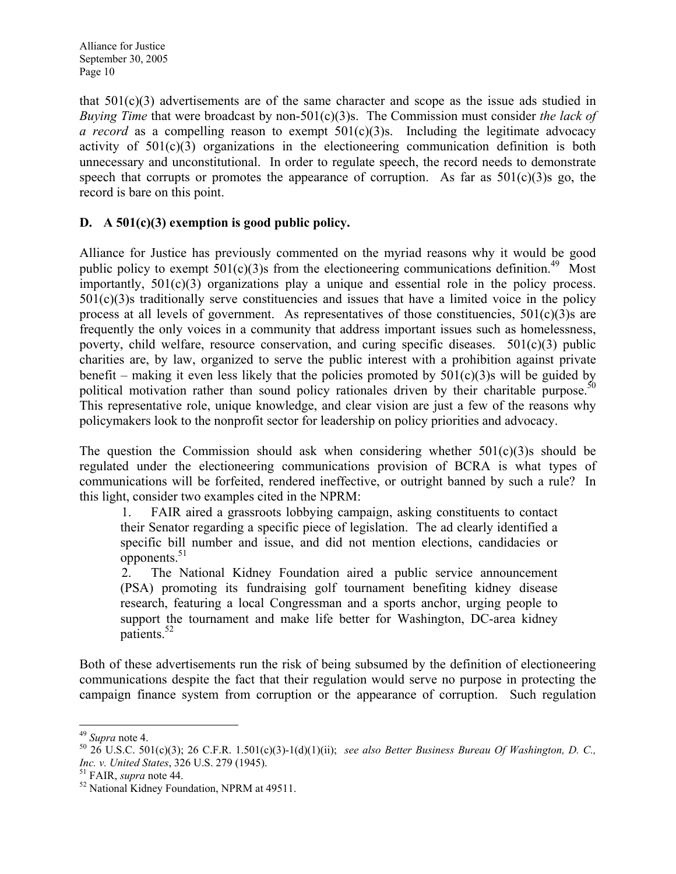that  $501(c)(3)$  advertisements are of the same character and scope as the issue ads studied in Buying Time that were broadcast by non-501(c)(3)s. The Commission must consider the lack of a record as a compelling reason to exempt  $501(c)(3)$ s. Including the legitimate advocacy activity of 501(c)(3) organizations in the electioneering communication definition is both unnecessary and unconstitutional. In order to regulate speech, the record needs to demonstrate speech that corrupts or promotes the appearance of corruption. As far as  $501(c)(3)$ s go, the record is bare on this point.

## D.  $A\ 501(c)(3)$  exemption is good public policy.

Alliance for Justice has previously commented on the myriad reasons why it would be good public policy to exempt  $501(c)(3)$ s from the electioneering communications definition.<sup>49</sup> Most importantly, 501(c)(3) organizations play a unique and essential role in the policy process. 501(c)(3)s traditionally serve constituencies and issues that have a limited voice in the policy process at all levels of government. As representatives of those constituencies,  $501(c)(3)$ s are frequently the only voices in a community that address important issues such as homelessness, poverty, child welfare, resource conservation, and curing specific diseases.  $501(c)(3)$  public charities are, by law, organized to serve the public interest with a prohibition against private benefit – making it even less likely that the policies promoted by  $501(c)(3)$ s will be guided by political motivation rather than sound policy rationales driven by their charitable purpose.<sup>50</sup> This representative role, unique knowledge, and clear vision are just a few of the reasons why policymakers look to the nonprofit sector for leadership on policy priorities and advocacy.

The question the Commission should ask when considering whether  $501(c)(3)$ s should be regulated under the electioneering communications provision of BCRA is what types of communications will be forfeited, rendered ineffective, or outright banned by such a rule? In this light, consider two examples cited in the NPRM:

1. FAIR aired a grassroots lobbying campaign, asking constituents to contact their Senator regarding a specific piece of legislation. The ad clearly identified a specific bill number and issue, and did not mention elections, candidacies or  $opponents.<sup>51</sup>$ 

2. The National Kidney Foundation aired a public service announcement (PSA) promoting its fundraising golf tournament benefiting kidney disease research, featuring a local Congressman and a sports anchor, urging people to support the tournament and make life better for Washington, DC-area kidney patients.<sup>52</sup>

Both of these advertisements run the risk of being subsumed by the definition of electioneering communications despite the fact that their regulation would serve no purpose in protecting the campaign finance system from corruption or the appearance of corruption. Such regulation

 $\overline{a}$ <sup>49</sup> Supra note 4.

 $50\,26\,$  U.S.C. 501(c)(3); 26 C.F.R. 1.501(c)(3)-1(d)(1)(ii); see also Better Business Bureau Of Washington, D. C., Inc. v. United States, 326 U.S. 279 (1945).

<sup>&</sup>lt;sup>51</sup> FAIR, *supra* note 44.

<sup>52</sup> National Kidney Foundation, NPRM at 49511.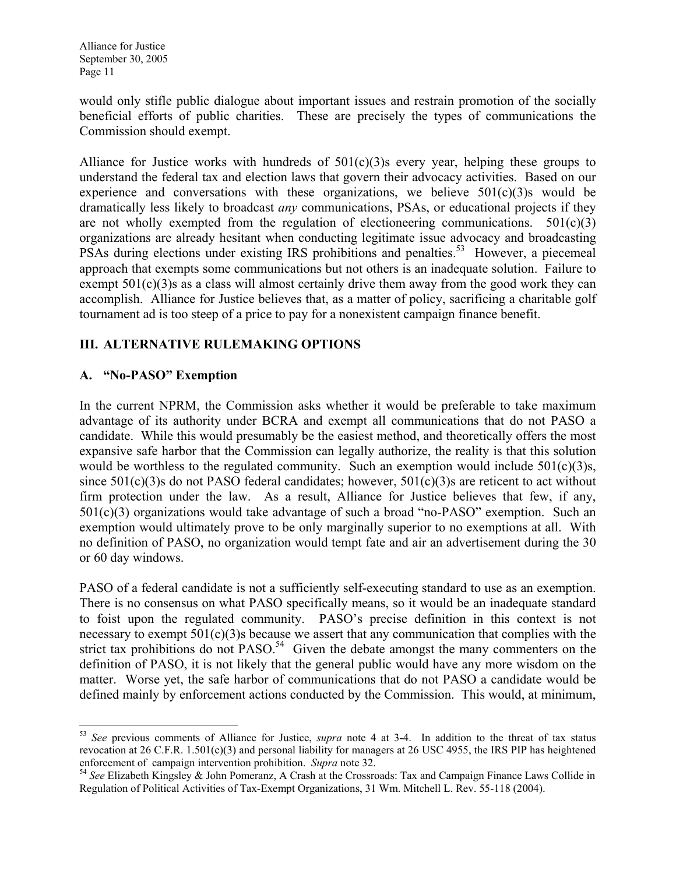would only stifle public dialogue about important issues and restrain promotion of the socially beneficial efforts of public charities. These are precisely the types of communications the Commission should exempt.

Alliance for Justice works with hundreds of  $501(c)(3)$ s every year, helping these groups to understand the federal tax and election laws that govern their advocacy activities. Based on our experience and conversations with these organizations, we believe  $501(c)(3)$ s would be dramatically less likely to broadcast any communications, PSAs, or educational projects if they are not wholly exempted from the regulation of electioneering communications.  $501(c)(3)$ organizations are already hesitant when conducting legitimate issue advocacy and broadcasting PSAs during elections under existing IRS prohibitions and penalties.<sup>53</sup> However, a piecemeal approach that exempts some communications but not others is an inadequate solution. Failure to exempt  $501(c)(3)$ s as a class will almost certainly drive them away from the good work they can accomplish. Alliance for Justice believes that, as a matter of policy, sacrificing a charitable golf tournament ad is too steep of a price to pay for a nonexistent campaign finance benefit.

## III. ALTERNATIVE RULEMAKING OPTIONS

### A. "No-PASO" Exemption

In the current NPRM, the Commission asks whether it would be preferable to take maximum advantage of its authority under BCRA and exempt all communications that do not PASO a candidate. While this would presumably be the easiest method, and theoretically offers the most expansive safe harbor that the Commission can legally authorize, the reality is that this solution would be worthless to the regulated community. Such an exemption would include 501(c)(3)s, since  $501(c)(3)$ s do not PASO federal candidates; however,  $501(c)(3)$ s are reticent to act without firm protection under the law. As a result, Alliance for Justice believes that few, if any, 501(c)(3) organizations would take advantage of such a broad "no-PASO" exemption. Such an exemption would ultimately prove to be only marginally superior to no exemptions at all. With no definition of PASO, no organization would tempt fate and air an advertisement during the 30 or 60 day windows.

PASO of a federal candidate is not a sufficiently self-executing standard to use as an exemption. There is no consensus on what PASO specifically means, so it would be an inadequate standard to foist upon the regulated community. PASO's precise definition in this context is not necessary to exempt 501(c)(3)s because we assert that any communication that complies with the strict tax prohibitions do not  $PASO<sup>54</sup>$  Given the debate amongst the many commenters on the definition of PASO, it is not likely that the general public would have any more wisdom on the matter. Worse yet, the safe harbor of communications that do not PASO a candidate would be defined mainly by enforcement actions conducted by the Commission. This would, at minimum,

<sup>&</sup>lt;u>.</u>  $53$  See previous comments of Alliance for Justice, supra note 4 at 3-4. In addition to the threat of tax status revocation at 26 C.F.R. 1.501(c)(3) and personal liability for managers at 26 USC 4955, the IRS PIP has heightened enforcement of campaign intervention prohibition. Supra note 32.

<sup>&</sup>lt;sup>54</sup> See Elizabeth Kingsley & John Pomeranz, A Crash at the Crossroads: Tax and Campaign Finance Laws Collide in Regulation of Political Activities of Tax-Exempt Organizations, 31 Wm. Mitchell L. Rev. 55-118 (2004).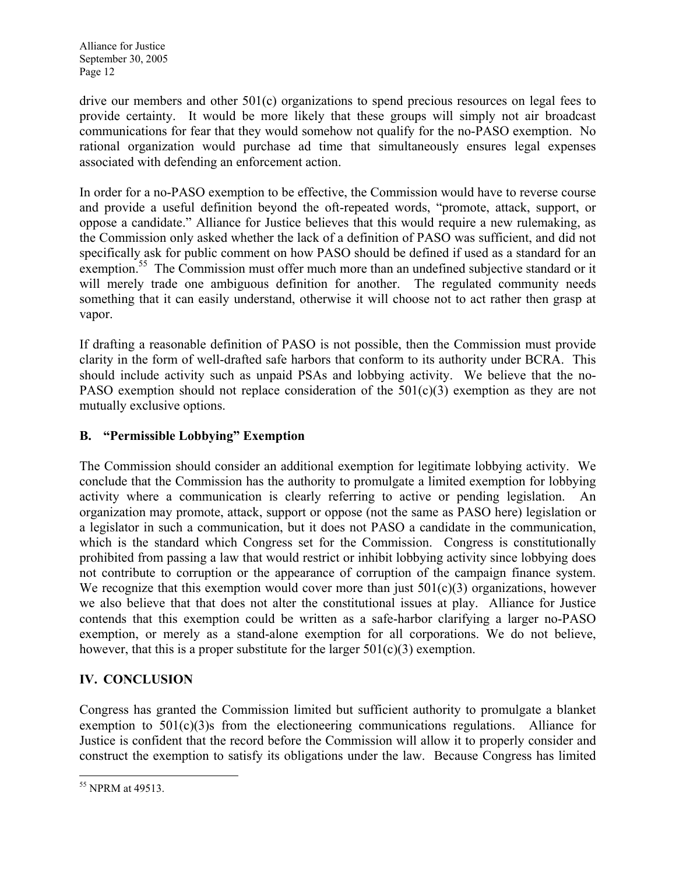drive our members and other 501(c) organizations to spend precious resources on legal fees to provide certainty. It would be more likely that these groups will simply not air broadcast communications for fear that they would somehow not qualify for the no-PASO exemption. No rational organization would purchase ad time that simultaneously ensures legal expenses associated with defending an enforcement action.

In order for a no-PASO exemption to be effective, the Commission would have to reverse course and provide a useful definition beyond the oft-repeated words, "promote, attack, support, or oppose a candidate." Alliance for Justice believes that this would require a new rulemaking, as the Commission only asked whether the lack of a definition of PASO was sufficient, and did not specifically ask for public comment on how PASO should be defined if used as a standard for an exemption.<sup>55</sup> The Commission must offer much more than an undefined subjective standard or it will merely trade one ambiguous definition for another. The regulated community needs something that it can easily understand, otherwise it will choose not to act rather then grasp at vapor.

If drafting a reasonable definition of PASO is not possible, then the Commission must provide clarity in the form of well-drafted safe harbors that conform to its authority under BCRA. This should include activity such as unpaid PSAs and lobbying activity. We believe that the no-PASO exemption should not replace consideration of the 501(c)(3) exemption as they are not mutually exclusive options.

# B. "Permissible Lobbying" Exemption

The Commission should consider an additional exemption for legitimate lobbying activity. We conclude that the Commission has the authority to promulgate a limited exemption for lobbying activity where a communication is clearly referring to active or pending legislation. An organization may promote, attack, support or oppose (not the same as PASO here) legislation or a legislator in such a communication, but it does not PASO a candidate in the communication, which is the standard which Congress set for the Commission. Congress is constitutionally prohibited from passing a law that would restrict or inhibit lobbying activity since lobbying does not contribute to corruption or the appearance of corruption of the campaign finance system. We recognize that this exemption would cover more than just  $501(c)(3)$  organizations, however we also believe that that does not alter the constitutional issues at play. Alliance for Justice contends that this exemption could be written as a safe-harbor clarifying a larger no-PASO exemption, or merely as a stand-alone exemption for all corporations. We do not believe, however, that this is a proper substitute for the larger  $501(c)(3)$  exemption.

# IV. CONCLUSION

Congress has granted the Commission limited but sufficient authority to promulgate a blanket exemption to  $501(c)(3)$ s from the electioneering communications regulations. Alliance for Justice is confident that the record before the Commission will allow it to properly consider and construct the exemption to satisfy its obligations under the law. Because Congress has limited

<sup>-</sup><sup>55</sup> NPRM at 49513.